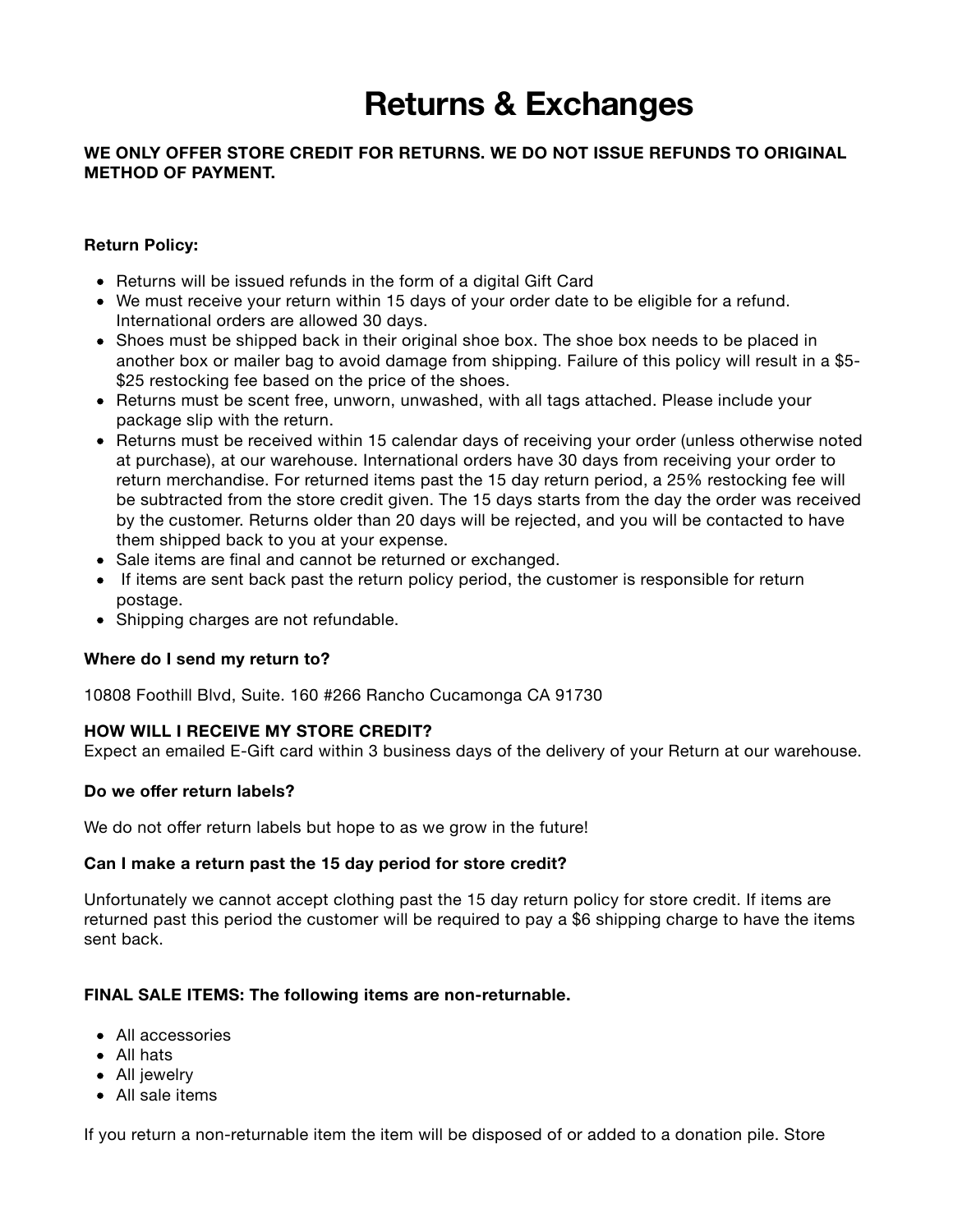# **Returns & Exchanges**

## **WE ONLY OFFER STORE CREDIT FOR RETURNS. WE DO NOT ISSUE REFUNDS TO ORIGINAL METHOD OF PAYMENT.**

## **Return Policy:**

- Returns will be issued refunds in the form of a digital Gift Card
- We must receive your return within 15 days of your order date to be eligible for a refund. International orders are allowed 30 days.
- Shoes must be shipped back in their original shoe box. The shoe box needs to be placed in another box or mailer bag to avoid damage from shipping. Failure of this policy will result in a \$5- \$25 restocking fee based on the price of the shoes.
- Returns must be scent free, unworn, unwashed, with all tags attached. Please include your package slip with the return.
- Returns must be received within 15 calendar days of receiving your order (unless otherwise noted at purchase), at our warehouse. International orders have 30 days from receiving your order to return merchandise. For returned items past the 15 day return period, a 25% restocking fee will be subtracted from the store credit given. The 15 days starts from the day the order was received by the customer. Returns older than 20 days will be rejected, and you will be contacted to have them shipped back to you at your expense.
- Sale items are final and cannot be returned or exchanged.
- If items are sent back past the return policy period, the customer is responsible for return postage.
- Shipping charges are not refundable.

#### **Where do I send my return to?**

10808 Foothill Blvd, Suite. 160 #266 Rancho Cucamonga CA 91730

#### **HOW WILL I RECEIVE MY STORE CREDIT?**

Expect an emailed E-Gift card within 3 business days of the delivery of your Return at our warehouse.

#### **Do we offer return labels?**

We do not offer return labels but hope to as we grow in the future!

#### **Can I make a return past the 15 day period for store credit?**

Unfortunately we cannot accept clothing past the 15 day return policy for store credit. If items are returned past this period the customer will be required to pay a \$6 shipping charge to have the items sent back.

#### **FINAL SALE ITEMS: The following items are non-returnable.**

- All accessories
- All hats
- All jewelry
- All sale items

If you return a non-returnable item the item will be disposed of or added to a donation pile. Store